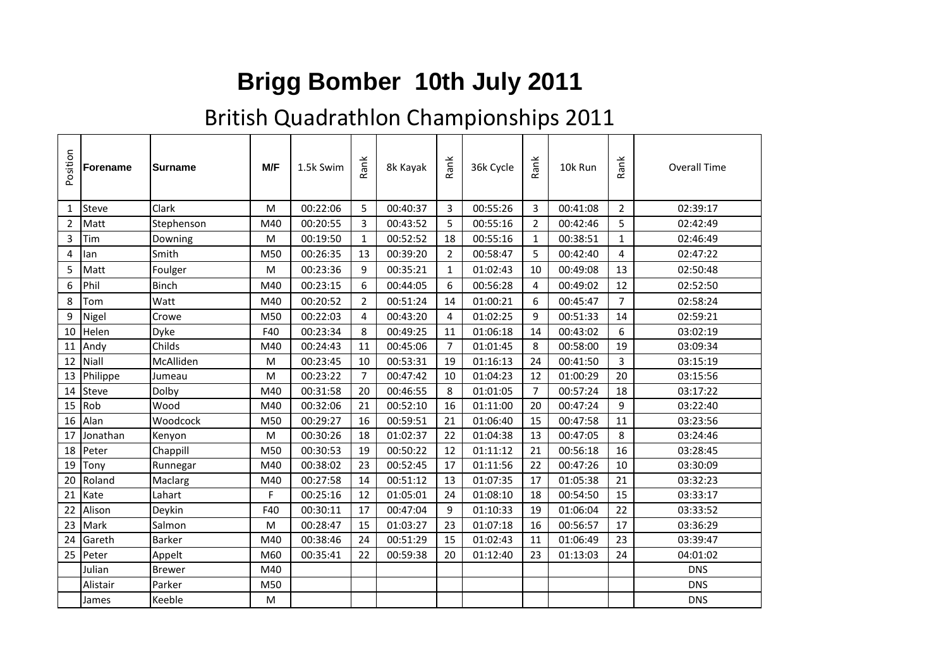## **Brigg Bomber 10th July 2011**

## British Quadrathlon Championships 2011

| Position       | <b>Forename</b> | <b>Surname</b> | M/F       | 1.5k Swim | Rank           | 8k Kayak | Rank           | 36k Cycle | Rank           | 10k Run  | Rank           | <b>Overall Time</b> |  |
|----------------|-----------------|----------------|-----------|-----------|----------------|----------|----------------|-----------|----------------|----------|----------------|---------------------|--|
| $\mathbf{1}$   | <b>Steve</b>    | Clark          | M         | 00:22:06  | 5              | 00:40:37 | 3              | 00:55:26  | 3              | 00:41:08 | $\overline{2}$ | 02:39:17            |  |
| $\overline{2}$ | Matt            | Stephenson     | M40       | 00:20:55  | 3              | 00:43:52 | 5              | 00:55:16  | $\overline{2}$ | 00:42:46 | 5              | 02:42:49            |  |
| 3              | Tim             | Downing        | M         | 00:19:50  | 1              | 00:52:52 | 18             | 00:55:16  | $\mathbf{1}$   | 00:38:51 | $\mathbf{1}$   | 02:46:49            |  |
| 4              | lan             | Smith          | M50       | 00:26:35  | 13             | 00:39:20 | $\overline{2}$ | 00:58:47  | 5              | 00:42:40 | 4              | 02:47:22            |  |
| 5              | Matt            | Foulger        | M         | 00:23:36  | 9              | 00:35:21 | $\mathbf{1}$   | 01:02:43  | 10             | 00:49:08 | 13             | 02:50:48            |  |
| 6              | Phil            | Binch          | M40       | 00:23:15  | 6              | 00:44:05 | 6              | 00:56:28  | 4              | 00:49:02 | 12             | 02:52:50            |  |
| 8              | Tom             | Watt           | M40       | 00:20:52  | 2              | 00:51:24 | 14             | 01:00:21  | 6              | 00:45:47 | $\overline{7}$ | 02:58:24            |  |
| 9              | Nigel           | Crowe          | M50       | 00:22:03  | 4              | 00:43:20 | 4              | 01:02:25  | 9              | 00:51:33 | 14             | 02:59:21            |  |
| 10             | Helen           | Dyke           | F40       | 00:23:34  | 8              | 00:49:25 | 11             | 01:06:18  | 14             | 00:43:02 | 6              | 03:02:19            |  |
| 11             | Andy            | Childs         | M40       | 00:24:43  | 11             | 00:45:06 | $\overline{7}$ | 01:01:45  | 8              | 00:58:00 | 19             | 03:09:34            |  |
| 12             | Niall           | McAlliden      | ${\sf M}$ | 00:23:45  | 10             | 00:53:31 | 19             | 01:16:13  | 24             | 00:41:50 | $\overline{3}$ | 03:15:19            |  |
| 13             | Philippe        | Jumeau         | M         | 00:23:22  | $\overline{7}$ | 00:47:42 | 10             | 01:04:23  | 12             | 01:00:29 | 20             | 03:15:56            |  |
| 14             | <b>Steve</b>    | Dolby          | M40       | 00:31:58  | 20             | 00:46:55 | 8              | 01:01:05  | $\overline{7}$ | 00:57:24 | 18             | 03:17:22            |  |
| 15             | Rob             | Wood           | M40       | 00:32:06  | 21             | 00:52:10 | 16             | 01:11:00  | 20             | 00:47:24 | 9              | 03:22:40            |  |
| 16             | Alan            | Woodcock       | M50       | 00:29:27  | 16             | 00:59:51 | 21             | 01:06:40  | 15             | 00:47:58 | 11             | 03:23:56            |  |
| 17             | Jonathan        | Kenyon         | M         | 00:30:26  | 18             | 01:02:37 | 22             | 01:04:38  | 13             | 00:47:05 | 8              | 03:24:46            |  |
| 18             | Peter           | Chappill       | M50       | 00:30:53  | 19             | 00:50:22 | 12             | 01:11:12  | 21             | 00:56:18 | 16             | 03:28:45            |  |
| 19             | Tony            | Runnegar       | M40       | 00:38:02  | 23             | 00:52:45 | 17             | 01:11:56  | 22             | 00:47:26 | 10             | 03:30:09            |  |
| 20             | Roland          | Maclarg        | M40       | 00:27:58  | 14             | 00:51:12 | 13             | 01:07:35  | 17             | 01:05:38 | 21             | 03:32:23            |  |
| 21             | Kate            | Lahart         | F         | 00:25:16  | 12             | 01:05:01 | 24             | 01:08:10  | 18             | 00:54:50 | 15             | 03:33:17            |  |
| 22             | Alison          | Deykin         | F40       | 00:30:11  | 17             | 00:47:04 | 9              | 01:10:33  | 19             | 01:06:04 | 22             | 03:33:52            |  |
| 23             | Mark            | Salmon         | M         | 00:28:47  | 15             | 01:03:27 | 23             | 01:07:18  | 16             | 00:56:57 | 17             | 03:36:29            |  |
| 24             | Gareth          | Barker         | M40       | 00:38:46  | 24             | 00:51:29 | 15             | 01:02:43  | 11             | 01:06:49 | 23             | 03:39:47            |  |
| 25             | Peter           | Appelt         | M60       | 00:35:41  | 22             | 00:59:38 | 20             | 01:12:40  | 23             | 01:13:03 | 24             | 04:01:02            |  |
|                | Julian          | <b>Brewer</b>  | M40       |           |                |          |                |           |                |          |                | <b>DNS</b>          |  |
|                | Alistair        | Parker         | M50       |           |                |          |                |           |                |          |                | <b>DNS</b>          |  |
|                | James           | Keeble         | M         |           |                |          |                |           |                |          |                | <b>DNS</b>          |  |